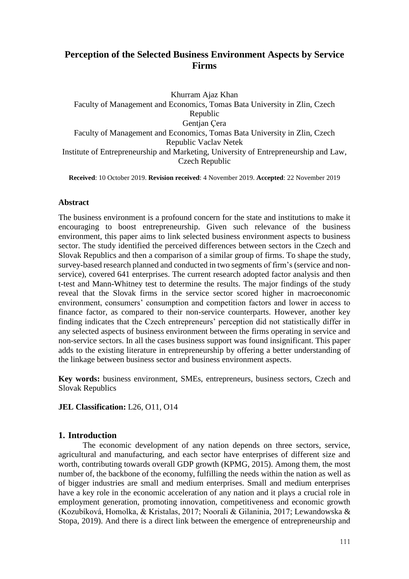# **Perception of the Selected Business Environment Aspects by Service Firms**

Khurram Ajaz Khan

Faculty of Management and Economics, Tomas Bata University in Zlin, Czech Republic Gentjan Çera Faculty of Management and Economics, Tomas Bata University in Zlin, Czech Republic Vaclav Netek Institute of Entrepreneurship and Marketing, University of Entrepreneurship and Law, Czech Republic

**Received**: 10 October 2019. **Revision received**: 4 November 2019. **Accepted**: 22 November 2019

# **Abstract**

The business environment is a profound concern for the state and institutions to make it encouraging to boost entrepreneurship. Given such relevance of the business environment, this paper aims to link selected business environment aspects to business sector. The study identified the perceived differences between sectors in the Czech and Slovak Republics and then a comparison of a similar group of firms. To shape the study, survey-based research planned and conducted in two segments of firm's (service and nonservice), covered 641 enterprises. The current research adopted factor analysis and then t-test and Mann-Whitney test to determine the results. The major findings of the study reveal that the Slovak firms in the service sector scored higher in macroeconomic environment, consumers' consumption and competition factors and lower in access to finance factor, as compared to their non-service counterparts. However, another key finding indicates that the Czech entrepreneurs' perception did not statistically differ in any selected aspects of business environment between the firms operating in service and non-service sectors. In all the cases business support was found insignificant. This paper adds to the existing literature in entrepreneurship by offering a better understanding of the linkage between business sector and business environment aspects.

**Key words:** business environment, SMEs, entrepreneurs, business sectors, Czech and Slovak Republics

**JEL Classification:** L26, O11, O14

# **1. Introduction**

The economic development of any nation depends on three sectors, service, agricultural and manufacturing, and each sector have enterprises of different size and worth, contributing towards overall GDP growth (KPMG, 2015). Among them, the most number of, the backbone of the economy, fulfilling the needs within the nation as well as of bigger industries are small and medium enterprises. Small and medium enterprises have a key role in the economic acceleration of any nation and it plays a crucial role in employment generation, promoting innovation, competitiveness and economic growth (Kozubíková, Homolka, & Kristalas, 2017; Noorali & Gilaninia, 2017; Lewandowska & Stopa, 2019). And there is a direct link between the emergence of entrepreneurship and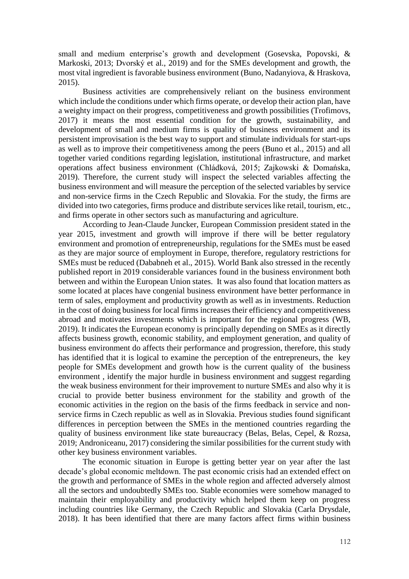small and medium enterprise's growth and development (Gosevska, Popovski, & Markoski, 2013; Dvorský et al., 2019) and for the SMEs development and growth, the most vital ingredient is favorable business environment (Buno, Nadanyiova, & Hraskova, 2015).

Business activities are comprehensively reliant on the business environment which include the conditions under which firms operate, or develop their action plan, have a weighty impact on their progress, competitiveness and growth possibilities (Trofimovs, 2017) it means the most essential condition for the growth, sustainability, and development of small and medium firms is quality of business environment and its persistent improvisation is the best way to support and stimulate individuals for start-ups as well as to improve their competitiveness among the peers (Buno et al., 2015) and all together varied conditions regarding legislation, institutional infrastructure, and market operations affect business environment (Chládková, 2015; Zajkowski & Domańska, 2019). Therefore, the current study will inspect the selected variables affecting the business environment and will measure the perception of the selected variables by service and non-service firms in the Czech Republic and Slovakia. For the study, the firms are divided into two categories, firms produce and distribute services like retail, tourism, etc., and firms operate in other sectors such as manufacturing and agriculture.

According to Jean-Claude Juncker, European Commission president stated in the year 2015, investment and growth will improve if there will be better regulatory environment and promotion of entrepreneurship, regulations for the SMEs must be eased as they are major source of employment in Europe, therefore, regulatory restrictions for SMEs must be reduced (Dababneh et al., 2015). World Bank also stressed in the recently published report in 2019 considerable variances found in the business environment both between and within the European Union states. It was also found that location matters as some located at places have congenial business environment have better performance in term of sales, employment and productivity growth as well as in investments. Reduction in the cost of doing business for local firms increases their efficiency and competitiveness abroad and motivates investments which is important for the regional progress (WB, 2019). It indicates the European economy is principally depending on SMEs as it directly affects business growth, economic stability, and employment generation, and quality of business environment do affects their performance and progression, therefore, this study has identified that it is logical to examine the perception of the entrepreneurs, the key people for SMEs development and growth how is the current quality of the business environment , identify the major hurdle in business environment and suggest regarding the weak business environment for their improvement to nurture SMEs and also why it is crucial to provide better business environment for the stability and growth of the economic activities in the region on the basis of the firms feedback in service and nonservice firms in Czech republic as well as in Slovakia. Previous studies found significant differences in perception between the SMEs in the mentioned countries regarding the quality of business environment like state bureaucracy (Belas, Belas, Cepel, & Rozsa, 2019; Androniceanu, 2017) considering the similar possibilities for the current study with other key business environment variables.

The economic situation in Europe is getting better year on year after the last decade's global economic meltdown. The past economic crisis had an extended effect on the growth and performance of SMEs in the whole region and affected adversely almost all the sectors and undoubtedly SMEs too. Stable economies were somehow managed to maintain their employability and productivity which helped them keep on progress including countries like Germany, the Czech Republic and Slovakia (Carla Drysdale, 2018). It has been identified that there are many factors affect firms within business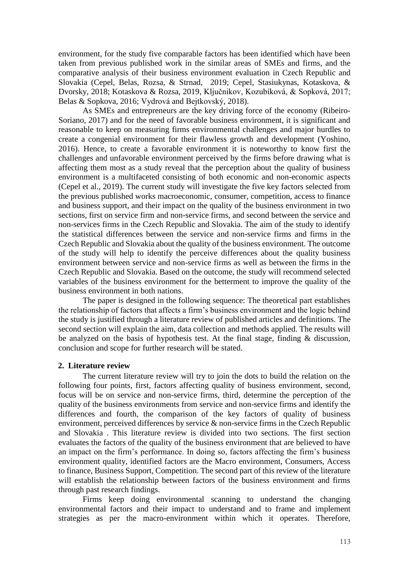environment, for the study five comparable factors has been identified which have been taken from previous published work in the similar areas of SMEs and firms, and the comparative analysis of their business environment evaluation in Czech Republic and Slovakia (Cepel, Belas, Rozsa, & Strnad, 2019; Cepel, Stasiukynas, Kotaskova, & Dvorsky, 2018; Kotaskova & Rozsa, 2019, Ključnikov, Kozubíková, & Sopková, 2017; Belas & Sopkova, 2016; Vydrová and Bejtkovský, 2018).

As SMEs and entrepreneurs are the key driving force of the economy (Ribeiro-Soriano, 2017) and for the need of favorable business environment, it is significant and reasonable to keep on measuring firms environmental challenges and major hurdles to create a congenial environment for their flawless growth and development (Yoshino, 2016). Hence, to create a favorable environment it is noteworthy to know first the challenges and unfavorable environment perceived by the firms before drawing what is affecting them most as a study reveal that the perception about the quality of business environment is a multifaceted consisting of both economic and non-economic aspects (Cepel et al., 2019). The current study will investigate the five key factors selected from the previous published works macroeconomic, consumer, competition, access to finance and business support, and their impact on the quality of the business environment in two sections, first on service firm and non-service firms, and second between the service and non-services firms in the Czech Republic and Slovakia. The aim of the study to identify the statistical differences between the service and non-service firms and firms in the Czech Republic and Slovakia about the quality of the business environment. The outcome of the study will help to identify the perceive differences about the quality business environment between service and non-service firms as well as between the firms in the Czech Republic and Slovakia. Based on the outcome, the study will recommend selected variables of the business environment for the betterment to improve the quality of the business environment in both nations.

The paper is designed in the following sequence: The theoretical part establishes the relationship of factors that affects a firm's business environment and the logic behind the study is justified through a literature review of published articles and definitions. The second section will explain the aim, data collection and methods applied. The results will be analyzed on the basis of hypothesis test. At the final stage, finding & discussion, conclusion and scope for further research will be stated.

### **2. Literature review**

The current literature review will try to join the dots to build the relation on the following four points, first, factors affecting quality of business environment, second, focus will be on service and non-service firms, third, determine the perception of the quality of the business environments from service and non-service firms and identify the differences and fourth, the comparison of the key factors of quality of business environment, perceived differences by service & non-service firms in the Czech Republic and Slovakia . This literature review is divided into two sections. The first section evaluates the factors of the quality of the business environment that are believed to have an impact on the firm's performance. In doing so, factors affecting the firm's business environment quality, identified factors are the Macro environment, Consumers, Access to finance, Business Support, Competition. The second part of this review of the literature will establish the relationship between factors of the business environment and firms through past research findings.

Firms keep doing environmental scanning to understand the changing environmental factors and their impact to understand and to frame and implement strategies as per the macro-environment within which it operates. Therefore,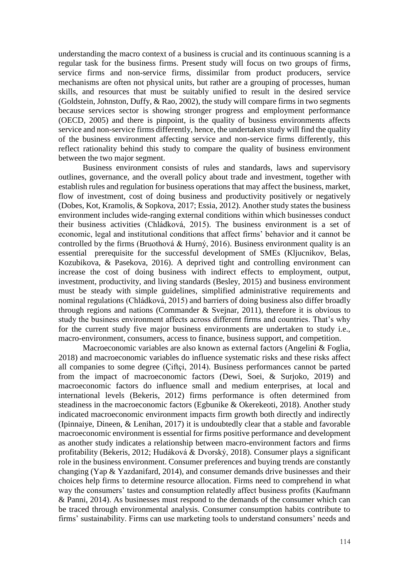understanding the macro context of a business is crucial and its continuous scanning is a regular task for the business firms. Present study will focus on two groups of firms, service firms and non-service firms, dissimilar from product producers, service mechanisms are often not physical units, but rather are a grouping of processes, human skills, and resources that must be suitably unified to result in the desired service (Goldstein, Johnston, Duffy, & Rao, 2002), the study will compare firms in two segments because services sector is showing stronger progress and employment performance (OECD, 2005) and there is pinpoint, is the quality of business environments affects service and non-service firms differently, hence, the undertaken study will find the quality of the business environment affecting service and non-service firms differently, this reflect rationality behind this study to compare the quality of business environment between the two major segment.

Business environment consists of rules and standards, laws and supervisory outlines, governance, and the overall policy about trade and investment, together with establish rules and regulation for business operations that may affect the business, market, flow of investment, cost of doing business and productivity positively or negatively (Dobes, Kot, Kramolis, & Sopkova, 2017; Essia, 2012). Another study states the business environment includes wide-ranging external conditions within which businesses conduct their business activities (Chládková, 2015). The business environment is a set of economic, legal and institutional conditions that affect firms' behavior and it cannot be controlled by the firms (Bruothová & Hurný, 2016). Business environment quality is an essential prerequisite for the successful development of SMEs (Kljucnikov, Belas, Kozubikova, & Pasekova, 2016). A deprived tight and controlling environment can increase the cost of doing business with indirect effects to employment, output, investment, productivity, and living standards (Besley, 2015) and business environment must be steady with simple guidelines, simplified administrative requirements and nominal regulations (Chládková, 2015) and barriers of doing business also differ broadly through regions and nations (Commander & Svejnar, 2011), therefore it is obvious to study the business environment affects across different firms and countries. That's why for the current study five major business environments are undertaken to study i.e., macro-environment, consumers, access to finance, business support, and competition.

Macroeconomic variables are also known as external factors (Angelini & Foglia, 2018) and macroeconomic variables do influence systematic risks and these risks affect all companies to some degree (Çiftçi, 2014). Business performances cannot be parted from the impact of macroeconomic factors (Dewi, Soei, & Surjoko, 2019) and macroeconomic factors do influence small and medium enterprises, at local and international levels (Bekeris, 2012) firms performance is often determined from steadiness in the macroeconomic factors (Egbunike & Okerekeoti, 2018). Another study indicated macroeconomic environment impacts firm growth both directly and indirectly (Ipinnaiye, Dineen, & Lenihan, 2017) it is undoubtedly clear that a stable and favorable macroeconomic environment is essential for firms positive performance and development as another study indicates a relationship between macro-environment factors and firms profitability (Bekeris, 2012; Hudáková & Dvorský, 2018). Consumer plays a significant role in the business environment. Consumer preferences and buying trends are constantly changing (Yap & Yazdanifard, 2014), and consumer demands drive businesses and their choices help firms to determine resource allocation. Firms need to comprehend in what way the consumers' tastes and consumption relatedly affect business profits (Kaufmann & Panni, 2014). As businesses must respond to the demands of the consumer which can be traced through environmental analysis. Consumer consumption habits contribute to firms' sustainability. Firms can use marketing tools to understand consumers' needs and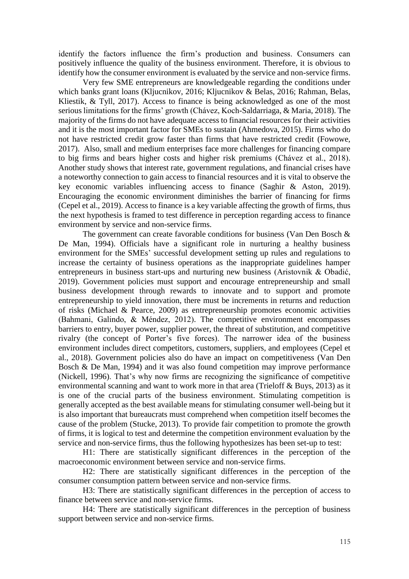identify the factors influence the firm's production and business. Consumers can positively influence the quality of the business environment. Therefore, it is obvious to identify how the consumer environment is evaluated by the service and non-service firms.

Very few SME entrepreneurs are knowledgeable regarding the conditions under which banks grant loans (Kljucnikov, 2016; Kljucnikov & Belas, 2016; Rahman, Belas, Kliestik, & Tyll, 2017). Access to finance is being acknowledged as one of the most serious limitations for the firms' growth (Chávez, Koch-Saldarriaga, & Maria, 2018). The majority of the firms do not have adequate access to financial resources for their activities and it is the most important factor for SMEs to sustain (Ahmedova, 2015). Firms who do not have restricted credit grow faster than firms that have restricted credit (Fowowe, 2017). Also, small and medium enterprises face more challenges for financing compare to big firms and bears higher costs and higher risk premiums (Chávez et al., 2018). Another study shows that interest rate, government regulations, and financial crises have a noteworthy connection to gain access to financial resources and it is vital to observe the key economic variables influencing access to finance (Saghir & Aston, 2019). Encouraging the economic environment diminishes the barrier of financing for firms (Cepel et al., 2019). Access to finance is a key variable affecting the growth of firms, thus the next hypothesis is framed to test difference in perception regarding access to finance environment by service and non-service firms.

The government can create favorable conditions for business (Van Den Bosch  $\&$ De Man, 1994). Officials have a significant role in nurturing a healthy business environment for the SMEs' successful development setting up rules and regulations to increase the certainty of business operations as the inappropriate guidelines hamper entrepreneurs in business start-ups and nurturing new business (Aristovnik & Obadić, 2019). Government policies must support and encourage entrepreneurship and small business development through rewards to innovate and to support and promote entrepreneurship to yield innovation, there must be increments in returns and reduction of risks (Michael & Pearce, 2009) as entrepreneurship promotes economic activities (Bahmani, Galindo, & Méndez, 2012). The competitive environment encompasses barriers to entry, buyer power, supplier power, the threat of substitution, and competitive rivalry (the concept of Porter's five forces). The narrower idea of the business environment includes direct competitors, customers, suppliers, and employees (Cepel et al., 2018). Government policies also do have an impact on competitiveness (Van Den Bosch & De Man, 1994) and it was also found competition may improve performance (Nickell, 1996). That's why now firms are recognizing the significance of competitive environmental scanning and want to work more in that area (Trieloff & Buys, 2013) as it is one of the crucial parts of the business environment. Stimulating competition is generally accepted as the best available means for stimulating consumer well-being but it is also important that bureaucrats must comprehend when competition itself becomes the cause of the problem (Stucke, 2013). To provide fair competition to promote the growth of firms, it is logical to test and determine the competition environment evaluation by the service and non-service firms, thus the following hypothesizes has been set-up to test:

H1: There are statistically significant differences in the perception of the macroeconomic environment between service and non-service firms.

H2: There are statistically significant differences in the perception of the consumer consumption pattern between service and non-service firms.

H3: There are statistically significant differences in the perception of access to finance between service and non-service firms.

H4: There are statistically significant differences in the perception of business support between service and non-service firms.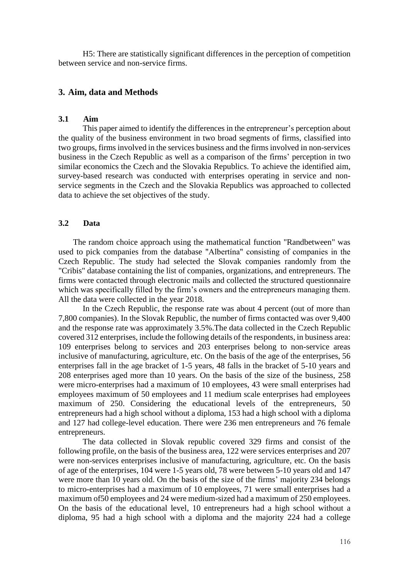H5: There are statistically significant differences in the perception of competition between service and non-service firms.

# **3. Aim, data and Methods**

# **3.1 Aim**

This paper aimed to identify the differences in the entrepreneur's perception about the quality of the business environment in two broad segments of firms, classified into two groups, firms involved in the services business and the firms involved in non-services business in the Czech Republic as well as a comparison of the firms' perception in two similar economics the Czech and the Slovakia Republics. To achieve the identified aim, survey-based research was conducted with enterprises operating in service and nonservice segments in the Czech and the Slovakia Republics was approached to collected data to achieve the set objectives of the study.

# **3.2 Data**

The random choice approach using the mathematical function "Randbetween" was used to pick companies from the database "Albertína" consisting of companies in the Czech Republic. The study had selected the Slovak companies randomly from the "Cribis" database containing the list of companies, organizations, and entrepreneurs. The firms were contacted through electronic mails and collected the structured questionnaire which was specifically filled by the firm's owners and the entrepreneurs managing them. All the data were collected in the year 2018.

In the Czech Republic, the response rate was about 4 percent (out of more than 7,800 companies). In the Slovak Republic, the number of firms contacted was over 9,400 and the response rate was approximately 3.5%.The data collected in the Czech Republic covered 312 enterprises, include the following details of the respondents, in business area: 109 enterprises belong to services and 203 enterprises belong to non-service areas inclusive of manufacturing, agriculture, etc. On the basis of the age of the enterprises, 56 enterprises fall in the age bracket of 1-5 years, 48 falls in the bracket of 5-10 years and 208 enterprises aged more than 10 years. On the basis of the size of the business, 258 were micro-enterprises had a maximum of 10 employees, 43 were small enterprises had employees maximum of 50 employees and 11 medium scale enterprises had employees maximum of 250. Considering the educational levels of the entrepreneurs, 50 entrepreneurs had a high school without a diploma, 153 had a high school with a diploma and 127 had college-level education. There were 236 men entrepreneurs and 76 female entrepreneurs.

The data collected in Slovak republic covered 329 firms and consist of the following profile, on the basis of the business area, 122 were services enterprises and 207 were non-services enterprises inclusive of manufacturing, agriculture, etc. On the basis of age of the enterprises, 104 were 1-5 years old, 78 were between 5-10 years old and 147 were more than 10 years old. On the basis of the size of the firms' majority 234 belongs to micro-enterprises had a maximum of 10 employees, 71 were small enterprises had a maximum of50 employees and 24 were medium-sized had a maximum of 250 employees. On the basis of the educational level, 10 entrepreneurs had a high school without a diploma, 95 had a high school with a diploma and the majority 224 had a college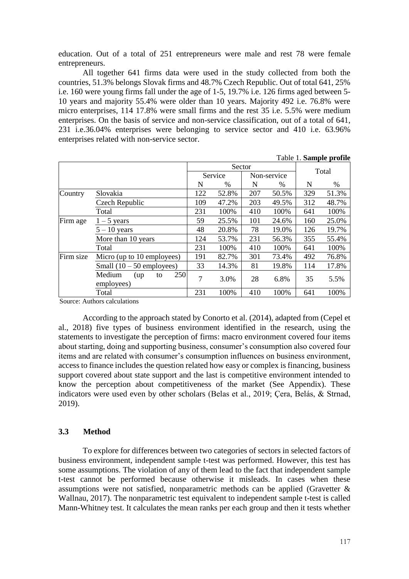education. Out of a total of 251 entrepreneurs were male and rest 78 were female entrepreneurs.

All together 641 firms data were used in the study collected from both the countries, 51.3% belongs Slovak firms and 48.7% Czech Republic. Out of total 641, 25% i.e. 160 were young firms fall under the age of 1-5, 19.7% i.e. 126 firms aged between 5- 10 years and majority 55.4% were older than 10 years. Majority 492 i.e. 76.8% were micro enterprises, 114 17.8% were small firms and the rest 35 i.e. 5.5% were medium enterprises. On the basis of service and non-service classification, out of a total of 641, 231 i.e.36.04% enterprises were belonging to service sector and 410 i.e. 63.96% enterprises related with non-service sector.

|           |                                           |                |         |     |             |       | Table 1. Sample prome |
|-----------|-------------------------------------------|----------------|---------|-----|-------------|-------|-----------------------|
|           |                                           | Sector         |         |     |             | Total |                       |
|           |                                           |                | Service |     | Non-service |       |                       |
|           |                                           | N              | $\%$    | N   | $\%$        | N     | %                     |
| Country   | Slovakia                                  | 122            | 52.8%   | 207 | 50.5%       | 329   | 51.3%                 |
|           | Czech Republic                            | 109            | 47.2%   | 203 | 49.5%       | 312   | 48.7%                 |
|           | Total                                     | 231            | 100%    | 410 | 100%        | 641   | 100%                  |
| Firm age  | $1 - 5$ years                             | 59             | 25.5%   | 101 | 24.6%       | 160   | 25.0%                 |
|           | $5 - 10$ years                            | 48             | 20.8%   | 78  | 19.0%       | 126   | 19.7%                 |
|           | More than 10 years                        | 124            | 53.7%   | 231 | 56.3%       | 355   | 55.4%                 |
|           | Total                                     | 231            | 100%    | 410 | 100%        | 641   | 100%                  |
| Firm size | Micro (up to 10 employees)                | 191            | 82.7%   | 301 | 73.4%       | 492   | 76.8%                 |
|           | Small $(10 - 50$ employees)               | 33             | 14.3%   | 81  | 19.8%       | 114   | 17.8%                 |
|           | 250<br>Medium<br>(up)<br>to<br>employees) | $\overline{7}$ | 3.0%    | 28  | 6.8%        | 35    | 5.5%                  |
|           | Total                                     | 231            | 100%    | 410 | 100%        | 641   | 100%                  |

Source: Authors calculations

According to the approach stated by Conorto et al. (2014), adapted from (Cepel et al., 2018) five types of business environment identified in the research, using the statements to investigate the perception of firms: macro environment covered four items about starting, doing and supporting business, consumer's consumption also covered four items and are related with consumer's consumption influences on business environment, access to finance includes the question related how easy or complex is financing, business support covered about state support and the last is competitive environment intended to know the perception about competitiveness of the market (See Appendix). These indicators were used even by other scholars (Belas et al., 2019; Çera, Belás, & Strnad, 2019).

# **3.3 Method**

To explore for differences between two categories of sectors in selected factors of business environment, independent sample t-test was performed. However, this test has some assumptions. The violation of any of them lead to the fact that independent sample t-test cannot be performed because otherwise it misleads. In cases when these assumptions were not satisfied, nonparametric methods can be applied (Gravetter & Wallnau, 2017). The nonparametric test equivalent to independent sample t-test is called Mann-Whitney test. It calculates the mean ranks per each group and then it tests whether

 $T = 11.1 \, \text{C} = 1$   $T = 21$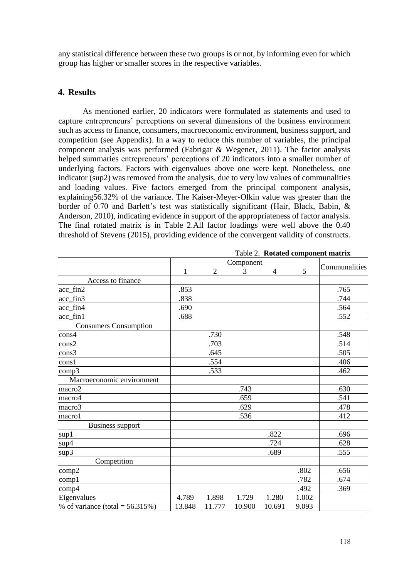any statistical difference between these two groups is or not, by informing even for which group has higher or smaller scores in the respective variables.

# **4. Results**

As mentioned earlier, 20 indicators were formulated as statements and used to capture entrepreneurs' perceptions on several dimensions of the business environment such as access to finance, consumers, macroeconomic environment, business support, and competition (see Appendix). In a way to reduce this number of variables, the principal component analysis was performed (Fabrigar & Wegener, 2011). The factor analysis helped summaries entrepreneurs' perceptions of 20 indicators into a smaller number of underlying factors. Factors with eigenvalues above one were kept. Nonetheless, one indicator (sup2) was removed from the analysis, due to very low values of communalities and loading values. Five factors emerged from the principal component analysis, explaining56.32% of the variance. The Kaiser-Meyer-Olkin value was greater than the border of 0.70 and Barlett's test was statistically significant (Hair, Black, Babin, & Anderson, 2010), indicating evidence in support of the appropriateness of factor analysis. The final rotated matrix is in Table 2.All factor loadings were well above the 0.40 threshold of Stevens (2015), providing evidence of the convergent validity of constructs.

|                                    |              | Communalities  |        |                |       |      |
|------------------------------------|--------------|----------------|--------|----------------|-------|------|
|                                    | $\mathbf{1}$ | $\overline{2}$ | 3      | $\overline{4}$ | 5     |      |
| Access to finance                  |              |                |        |                |       |      |
| acc_fin2                           | .853         |                |        |                |       | .765 |
| acc_fin3                           | .838         |                |        |                |       | .744 |
| acc_fin4                           | .690         |                |        |                |       | .564 |
| acc_fin1                           | .688         |                |        |                |       | .552 |
| <b>Consumers Consumption</b>       |              |                |        |                |       |      |
| cons4                              |              | .730           |        |                |       | .548 |
| cons2                              |              | .703           |        |                |       | .514 |
| cons3                              |              | .645           |        |                |       | .505 |
| cons1                              |              | .554           |        |                |       | .406 |
| comp3                              |              | .533           |        |                |       | .462 |
| Macroeconomic environment          |              |                |        |                |       |      |
| macro2                             |              |                | .743   |                |       | .630 |
| macro4                             |              |                | .659   |                |       | .541 |
| macro3                             |              |                | .629   |                |       | .478 |
| macro1                             |              |                | .536   |                |       | .412 |
| <b>Business support</b>            |              |                |        |                |       |      |
| sup1                               |              |                |        | .822           |       | .696 |
| sup4                               |              |                |        | .724           |       | .628 |
| sup3                               |              |                |        | .689           |       | .555 |
| Competition                        |              |                |        |                |       |      |
| comp2                              |              |                |        |                | .802  | .656 |
| comp1                              |              |                |        |                | .782  | .674 |
| comp4                              |              |                |        |                | .492  | .369 |
| Eigenvalues                        | 4.789        | 1.898          | 1.729  | 1.280          | 1.002 |      |
| % of variance (total = $56.315%$ ) | 13.848       | 11.777         | 10.900 | 10.691         | 9.093 |      |

Table 2. **Rotated component matrix**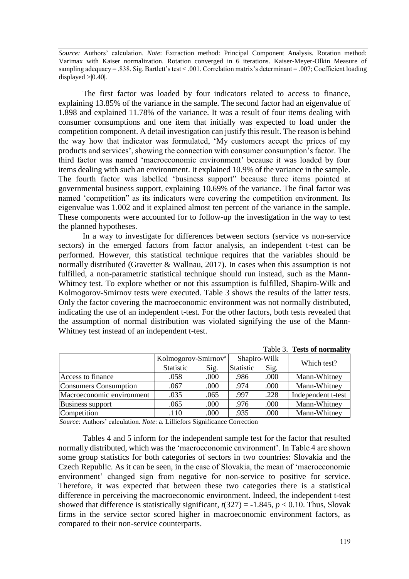*Source:* Authors' calculation. *Note*: Extraction method: Principal Component Analysis. Rotation method: Varimax with Kaiser normalization. Rotation converged in 6 iterations. Kaiser-Meyer-Olkin Measure of sampling adequacy = .838. Sig. Bartlett's test < .001. Correlation matrix's determinant = .007; Coefficient loading displayed  $>0.40$ .

The first factor was loaded by four indicators related to access to finance, explaining 13.85% of the variance in the sample. The second factor had an eigenvalue of 1.898 and explained 11.78% of the variance. It was a result of four items dealing with consumer consumptions and one item that initially was expected to load under the competition component. A detail investigation can justify this result. The reason is behind the way how that indicator was formulated, 'My customers accept the prices of my products and services', showing the connection with consumer consumption's factor. The third factor was named 'macroeconomic environment' because it was loaded by four items dealing with such an environment. It explained 10.9% of the variance in the sample. The fourth factor was labelled 'business support" because three items pointed at governmental business support, explaining 10.69% of the variance. The final factor was named 'competition" as its indicators were covering the competition environment. Its eigenvalue was 1.002 and it explained almost ten percent of the variance in the sample. These components were accounted for to follow-up the investigation in the way to test the planned hypotheses.

In a way to investigate for differences between sectors (service vs non-service sectors) in the emerged factors from factor analysis, an independent t-test can be performed. However, this statistical technique requires that the variables should be normally distributed (Gravetter & Wallnau, 2017). In cases when this assumption is not fulfilled, a non-parametric statistical technique should run instead, such as the Mann-Whitney test. To explore whether or not this assumption is fulfilled, Shapiro-Wilk and Kolmogorov-Smirnov tests were executed. Table 3 shows the results of the latter tests. Only the factor covering the macroeconomic environment was not normally distributed, indicating the use of an independent t-test. For the other factors, both tests revealed that the assumption of normal distribution was violated signifying the use of the Mann-Whitney test instead of an independent t-test.

|                           |                                 |      |              |      | Table 3. Tests of normality |
|---------------------------|---------------------------------|------|--------------|------|-----------------------------|
|                           | Kolmogorov-Smirnov <sup>a</sup> |      | Shapiro-Wilk |      | Which test?                 |
|                           | Statistic                       | Sig. | Statistic    | Sig. |                             |
| Access to finance         | .058                            | .000 | .986         | .000 | Mann-Whitney                |
| Consumers Consumption     | .067                            | .000 | .974         | .000 | Mann-Whitney                |
| Macroeconomic environment | .035                            | .065 | .997         | .228 | Independent t-test          |
| <b>Business support</b>   | .065                            | .000 | .976         | .000 | Mann-Whitney                |
| Competition               | .110                            | .000 | .935         | .000 | Mann-Whitney                |

*Source:* Authors' calculation. *Note*: a. Lilliefors Significance Correction

Tables 4 and 5 inform for the independent sample test for the factor that resulted normally distributed, which was the 'macroeconomic environment'. In Table 4 are shown some group statistics for both categories of sectors in two countries: Slovakia and the Czech Republic. As it can be seen, in the case of Slovakia, the mean of 'macroeconomic environment' changed sign from negative for non-service to positive for service. Therefore, it was expected that between these two categories there is a statistical difference in perceiving the macroeconomic environment. Indeed, the independent t-test showed that difference is statistically significant,  $t(327) = -1.845$ ,  $p < 0.10$ . Thus, Slovak firms in the service sector scored higher in macroeconomic environment factors, as compared to their non-service counterparts.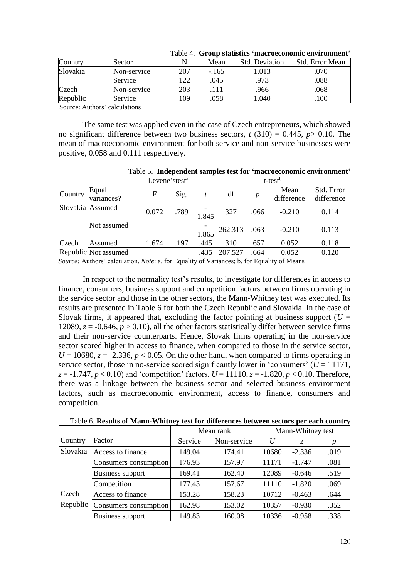| Country  | Sector      |     | Mean   | <b>Std. Deviation</b> | Std. Error Mean |
|----------|-------------|-----|--------|-----------------------|-----------------|
| Slovakia | Non-service | 207 | $-165$ | .013                  | .070            |
|          | Service     | 22  | .045   |                       | .088            |
| Czech    | Non-service | 203 | 111    | .966                  | .068            |
| Republic | Service     | 09  | .058   | .040                  | 100             |

Table 4. **Group statistics 'macroeconomic environment'**

Source: Authors' calculations

The same test was applied even in the case of Czech entrepreneurs, which showed no significant difference between two business sectors,  $t(310) = 0.445$ ,  $p > 0.10$ . The mean of macroeconomic environment for both service and non-service businesses were positive, 0.058 and 0.111 respectively.

Table 5. **Independent samples test for 'macroeconomic environment'**

|         |                      | Levene'stest <sup>a</sup> |      | t-test <sup>b</sup> |         |      |                    |                          |
|---------|----------------------|---------------------------|------|---------------------|---------|------|--------------------|--------------------------|
| Country | Equal<br>variances?  | F                         | Sig. |                     | df      | p    | Mean<br>difference | Std. Error<br>difference |
|         | Slovakia Assumed     | 0.072                     | .789 | 1.845               | 327     | .066 | $-0.210$           | 0.114                    |
|         | Not assumed          |                           |      | 1.865               | 262.313 | .063 | $-0.210$           | 0.113                    |
| Czech   | Assumed              | 1.674                     | .197 | .445                | 310     | .657 | 0.052              | 0.118                    |
|         | Republic Not assumed |                           |      | .435                | 207.527 | .664 | 0.052              | 0.120                    |

*Source:* Authors' calculation. *Note*: a. for Equality of Variances; b. for Equality of Means

In respect to the normality test's results, to investigate for differences in access to finance, consumers, business support and competition factors between firms operating in the service sector and those in the other sectors, the Mann-Whitney test was executed. Its results are presented in Table 6 for both the Czech Republic and Slovakia. In the case of Slovak firms, it appeared that, excluding the factor pointing at business support ( $U =$ 12089,  $z = -0.646$ ,  $p > 0.10$ ), all the other factors statistically differ between service firms and their non-service counterparts. Hence, Slovak firms operating in the non-service sector scored higher in access to finance, when compared to those in the service sector,  $U = 10680$ ,  $z = -2.336$ ,  $p < 0.05$ . On the other hand, when compared to firms operating in service sector, those in no-service scored significantly lower in 'consumers'  $(U = 11171$ ,  $z = -1.747$ ,  $p < 0.10$ ) and 'competition' factors,  $U = 11110$ ,  $z = -1.820$ ,  $p < 0.10$ . Therefore, there was a linkage between the business sector and selected business environment factors, such as macroeconomic environment, access to finance, consumers and competition.

|          |                       |         | Mean rank   | Mann-Whitney test |          |      |  |
|----------|-----------------------|---------|-------------|-------------------|----------|------|--|
| Country  | Factor                | Service | Non-service | U                 | Z.       | p    |  |
| Slovakia | Access to finance     | 149.04  | 174.41      | 10680             | $-2.336$ | .019 |  |
|          | Consumers consumption | 176.93  | 157.97      | 11171             | $-1.747$ | .081 |  |
|          | Business support      | 169.41  | 162.40      | 12089             | $-0.646$ | .519 |  |
|          | Competition           | 177.43  | 157.67      | 11110             | $-1.820$ | .069 |  |
| Czech    | Access to finance     | 153.28  | 158.23      | 10712             | $-0.463$ | .644 |  |
| Republic | Consumers consumption | 162.98  | 153.02      | 10357             | $-0.930$ | .352 |  |
|          | Business support      | 149.83  | 160.08      | 10336             | $-0.958$ | .338 |  |

Table 6. **Results of Mann-Whitney test for differences between sectors per each country**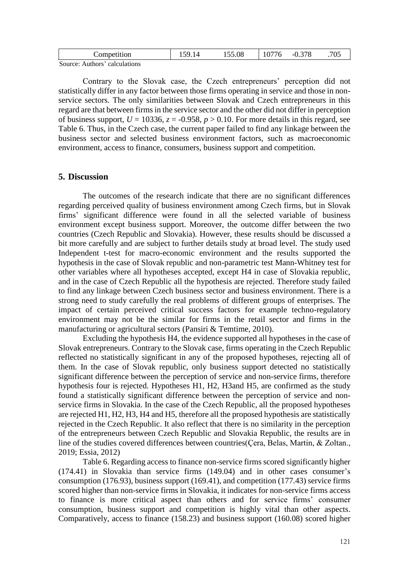| . omnet .<br>ompetition                                                 | .<br>$\sqrt{2}$ | 155.08 | $\sim$ $\sim$<br>v<br>v | າສດ<br>--<br>◟<br>◡.◡ | $\upsilon$ |
|-------------------------------------------------------------------------|-----------------|--------|-------------------------|-----------------------|------------|
| $\tilde{\phantom{0}}$<br>$\sum_{i=1}^{n}$<br>coloulations<br>$A$ uthors |                 |        |                         |                       |            |

Source: Authors' calculations

Contrary to the Slovak case, the Czech entrepreneurs' perception did not statistically differ in any factor between those firms operating in service and those in nonservice sectors. The only similarities between Slovak and Czech entrepreneurs in this regard are that between firms in the service sector and the other did not differ in perception of business support,  $U = 10336$ ,  $z = -0.958$ ,  $p > 0.10$ . For more details in this regard, see Table 6. Thus, in the Czech case, the current paper failed to find any linkage between the business sector and selected business environment factors, such as macroeconomic environment, access to finance, consumers, business support and competition.

# **5. Discussion**

The outcomes of the research indicate that there are no significant differences regarding perceived quality of business environment among Czech firms, but in Slovak firms' significant difference were found in all the selected variable of business environment except business support. Moreover, the outcome differ between the two countries (Czech Republic and Slovakia). However, these results should be discussed a bit more carefully and are subject to further details study at broad level. The study used Independent t-test for macro-economic environment and the results supported the hypothesis in the case of Slovak republic and non-parametric test Mann-Whitney test for other variables where all hypotheses accepted, except H4 in case of Slovakia republic, and in the case of Czech Republic all the hypothesis are rejected. Therefore study failed to find any linkage between Czech business sector and business environment. There is a strong need to study carefully the real problems of different groups of enterprises. The impact of certain perceived critical success factors for example techno-regulatory environment may not be the similar for firms in the retail sector and firms in the manufacturing or agricultural sectors (Pansiri & Temtime, 2010).

Excluding the hypothesis H4, the evidence supported all hypotheses in the case of Slovak entrepreneurs. Contrary to the Slovak case, firms operating in the Czech Republic reflected no statistically significant in any of the proposed hypotheses, rejecting all of them. In the case of Slovak republic, only business support detected no statistically significant difference between the perception of service and non-service firms, therefore hypothesis four is rejected. Hypotheses H1, H2, H3and H5, are confirmed as the study found a statistically significant difference between the perception of service and nonservice firms in Slovakia. In the case of the Czech Republic, all the proposed hypotheses are rejected H1, H2, H3, H4 and H5, therefore all the proposed hypothesis are statistically rejected in the Czech Republic. It also reflect that there is no similarity in the perception of the entrepreneurs between Czech Republic and Slovakia Republic, the results are in line of the studies covered differences between countries(Çera, Belas, Martin, & Zoltan., 2019; Essia, 2012)

Table 6. Regarding access to finance non-service firms scored significantly higher (174.41) in Slovakia than service firms (149.04) and in other cases consumer's consumption (176.93), business support (169.41), and competition (177.43) service firms scored higher than non-service firms in Slovakia, it indicates for non-service firms access to finance is more critical aspect than others and for service firms' consumer consumption, business support and competition is highly vital than other aspects. Comparatively, access to finance (158.23) and business support (160.08) scored higher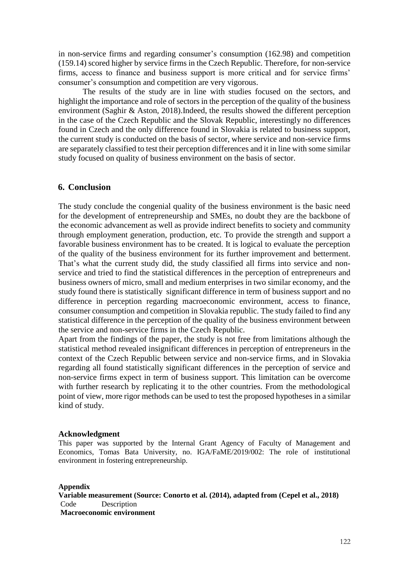in non-service firms and regarding consumer's consumption (162.98) and competition (159.14) scored higher by service firms in the Czech Republic. Therefore, for non-service firms, access to finance and business support is more critical and for service firms' consumer's consumption and competition are very vigorous.

The results of the study are in line with studies focused on the sectors, and highlight the importance and role of sectors in the perception of the quality of the business environment (Saghir & Aston, 2018).Indeed, the results showed the different perception in the case of the Czech Republic and the Slovak Republic, interestingly no differences found in Czech and the only difference found in Slovakia is related to business support, the current study is conducted on the basis of sector, where service and non-service firms are separately classified to test their perception differences and it in line with some similar study focused on quality of business environment on the basis of sector.

### **6. Conclusion**

The study conclude the congenial quality of the business environment is the basic need for the development of entrepreneurship and SMEs, no doubt they are the backbone of the economic advancement as well as provide indirect benefits to society and community through employment generation, production, etc. To provide the strength and support a favorable business environment has to be created. It is logical to evaluate the perception of the quality of the business environment for its further improvement and betterment. That's what the current study did, the study classified all firms into service and nonservice and tried to find the statistical differences in the perception of entrepreneurs and business owners of micro, small and medium enterprises in two similar economy, and the study found there is statistically significant difference in term of business support and no difference in perception regarding macroeconomic environment, access to finance, consumer consumption and competition in Slovakia republic. The study failed to find any statistical difference in the perception of the quality of the business environment between the service and non-service firms in the Czech Republic.

Apart from the findings of the paper, the study is not free from limitations although the statistical method revealed insignificant differences in perception of entrepreneurs in the context of the Czech Republic between service and non-service firms, and in Slovakia regarding all found statistically significant differences in the perception of service and non-service firms expect in term of business support. This limitation can be overcome with further research by replicating it to the other countries. From the methodological point of view, more rigor methods can be used to test the proposed hypotheses in a similar kind of study.

#### **Acknowledgment**

This paper was supported by the Internal Grant Agency of Faculty of Management and Economics, Tomas Bata University, no. IGA/FaME/2019/002: The role of institutional environment in fostering entrepreneurship.

#### **Appendix**

**Variable measurement (Source: Conorto et al. (2014), adapted from (Cepel et al., 2018)** Code Description **Macroeconomic environment**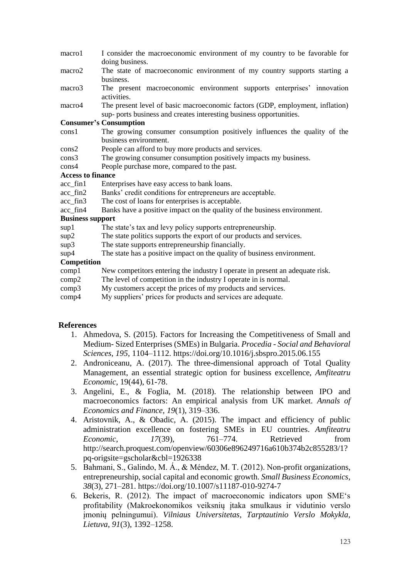- macro1 I consider the macroeconomic environment of my country to be favorable for doing business.
- macro2 The state of macroeconomic environment of my country supports starting a business.
- macro3 The present macroeconomic environment supports enterprises' innovation activities.
- macro4 The present level of basic macroeconomic factors (GDP, employment, inflation) sup- ports business and creates interesting business opportunities.

### **Consumer's Consumption**

- cons1 The growing consumer consumption positively influences the quality of the business environment.
- cons2 People can afford to buy more products and services.
- cons3 The growing consumer consumption positively impacts my business.
- cons4 People purchase more, compared to the past.

#### **Access to finance**

- acc\_fin1 Enterprises have easy access to bank loans.
- acc fin2 Banks' credit conditions for entrepreneurs are acceptable.
- acc fin3 The cost of loans for enterprises is acceptable.
- acc fin4 Banks have a positive impact on the quality of the business environment.

### **Business support**

- sup1 The state's tax and levy policy supports entrepreneurship.
- sup2 The state politics supports the export of our products and services.
- sup3 The state supports entrepreneurship financially.
- sup4 The state has a positive impact on the quality of business environment.

### **Competition**

- comp1 New competitors entering the industry I operate in present an adequate risk.
- comp2 The level of competition in the industry I operate in is normal.
- comp3 My customers accept the prices of my products and services.
- comp4 My suppliers' prices for products and services are adequate.

### **References**

- 1. Ahmedova, S. (2015). Factors for Increasing the Competitiveness of Small and Medium- Sized Enterprises (SMEs) in Bulgaria. *Procedia - Social and Behavioral Sciences*, *195*, 1104–1112. https://doi.org/10.1016/j.sbspro.2015.06.155
- 2. Androniceanu, A. (2017). The three-dimensional approach of Total Quality Management, an essential strategic option for business excellence, *Amfiteatru Economic*, 19(44), 61-78.
- 3. Angelini, E., & Foglia, M. (2018). The relationship between IPO and macroeconomics factors: An empirical analysis from UK market. *Annals of Economics and Finance*, *19*(1), 319–336.
- 4. Aristovnik, A., & Obadic, A. (2015). The impact and efficiency of public administration excellence on fostering SMEs in EU countries. *Amfiteatru Economic*, *17*(39), 761–774. Retrieved from http://search.proquest.com/openview/60306e896249716a610b374b2c855283/1? pq-origsite=gscholar&cbl=1926338
- 5. Bahmani, S., Galindo, M. Á., & Méndez, M. T. (2012). Non-profit organizations, entrepreneurship, social capital and economic growth. *Small Business Economics*, *38*(3), 271–281. https://doi.org/10.1007/s11187-010-9274-7
- 6. Bekeris, R. (2012). The impact of macroeconomic indicators upon SME's profitability (Makroekonomikos veiksnių įtaka smulkaus ir vidutinio verslo įmonių pelningumui). *Vilniaus Universitetas, Tarptautinio Verslo Mokykla, Lietuva*, *91*(3), 1392–1258.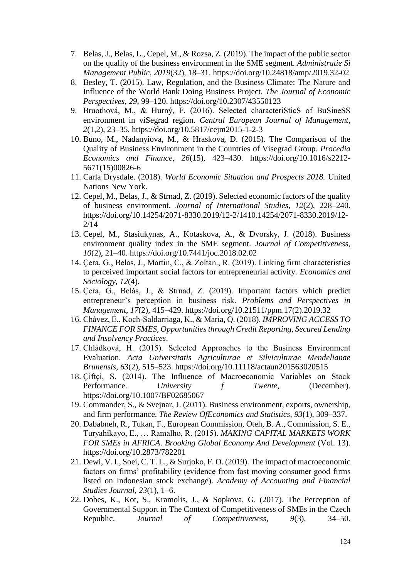- 7. Belas, J., Belas, L., Cepel, M., & Rozsa, Z. (2019). The impact of the public sector on the quality of the business environment in the SME segment. *Administratie Si Management Public*, *2019*(32), 18–31. https://doi.org/10.24818/amp/2019.32-02
- 8. Besley, T. (2015). Law, Regulation, and the Business Climate: The Nature and Influence of the World Bank Doing Business Project. *The Journal of Economic Perspectives*, *29*, 99–120. https://doi.org/10.2307/43550123
- 9. Bruothová, M., & Hurný, F. (2016). Selected characteriSticS of BuSineSS environment in viSegrad region. *Central European Journal of Management*, *2*(1,2), 23–35. https://doi.org/10.5817/cejm2015-1-2-3
- 10. Buno, M., Nadanyiova, M., & Hraskova, D. (2015). The Comparison of the Quality of Business Environment in the Countries of Visegrad Group. *Procedia Economics and Finance*, *26*(15), 423–430. https://doi.org/10.1016/s2212- 5671(15)00826-6
- 11. Carla Drysdale. (2018). *World Economic Situation and Prospects 2018.* United Nations New York.
- 12. Cepel, M., Belas, J., & Strnad, Z. (2019). Selected economic factors of the quality of business environment. *Journal of International Studies*, *12*(2), 228–240. https://doi.org/10.14254/2071-8330.2019/12-2/1410.14254/2071-8330.2019/12- 2/14
- 13. Cepel, M., Stasiukynas, A., Kotaskova, A., & Dvorsky, J. (2018). Business environment quality index in the SME segment. *Journal of Competitiveness*, *10*(2), 21–40. https://doi.org/10.7441/joc.2018.02.02
- 14. Çera, G., Belas, J., Martin, C., & Zoltan., R. (2019). Linking firm characteristics to perceived important social factors for entrepreneurial activity. *Economics and Sociology*, *12*(4).
- 15. Çera, G., Belás, J., & Strnad, Z. (2019). Important factors which predict entrepreneur's perception in business risk. *Problems and Perspectives in Management*, *17*(2), 415–429. https://doi.org/10.21511/ppm.17(2).2019.32
- 16. Chávez, É., Koch-Saldarriaga, K., & Maria, Q. (2018). *IMPROVING ACCESS TO FINANCE FOR SMES, Opportunities through Credit Reporting, Secured Lending and Insolvency Practices*.
- 17. Chládková, H. (2015). Selected Approaches to the Business Environment Evaluation. *Acta Universitatis Agriculturae et Silviculturae Mendelianae Brunensis*, *63*(2), 515–523. https://doi.org/10.11118/actaun201563020515
- 18. Çiftçi, S. (2014). The Influence of Macroeconomic Variables on Stock Performance. *University f Twente*, (December). https://doi.org/10.1007/BF02685067
- 19. Commander, S., & Svejnar, J. (2011). Business environment, exports, ownership, and firm performance. *The Review OfEconomics and Statistics*, *93*(1), 309–337.
- 20. Dababneh, R., Tukan, F., European Commission, Oteh, B. A., Commission, S. E., Turyahikayo, E., … Ramalho, R. (2015). *MAKING CAPITAL MARKETS WORK FOR SMEs in AFRICA*. *Brooking Global Economy And Development* (Vol. 13). https://doi.org/10.2873/782201
- 21. Dewi, V. I., Soei, C. T. L., & Surjoko, F. O. (2019). The impact of macroeconomic factors on firms' profitability (evidence from fast moving consumer good firms listed on Indonesian stock exchange). *Academy of Accounting and Financial Studies Journal*, *23*(1), 1–6.
- 22. Dobes, K., Kot, S., Kramolis, J., & Sopkova, G. (2017). The Perception of Governmental Support in The Context of Competitiveness of SMEs in the Czech Republic. *Journal of Competitiveness*, *9*(3), 34–50.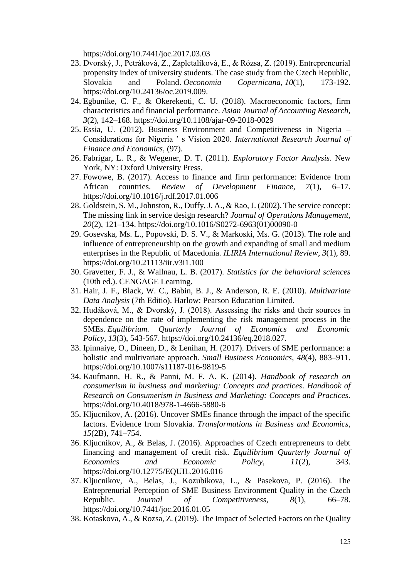https://doi.org/10.7441/joc.2017.03.03

- 23. Dvorský, J., Petráková, Z., Zapletalíková, E., & Rózsa, Z. (2019). Entrepreneurial propensity index of university students. The case study from the Czech Republic, Slovakia and Poland. *Oeconomia Copernicana*, *10*(1), 173-192. https://doi.org/10.24136/oc.2019.009.
- 24. Egbunike, C. F., & Okerekeoti, C. U. (2018). Macroeconomic factors, firm characteristics and financial performance. *Asian Journal of Accounting Research*, *3*(2), 142–168. https://doi.org/10.1108/ajar-09-2018-0029
- 25. Essia, U. (2012). Business Environment and Competitiveness in Nigeria Considerations for Nigeria ' s Vision 2020. *International Research Journal of Finance and Economics*, (97).
- 26. Fabrigar, L. R., & Wegener, D. T. (2011). *Exploratory Factor Analysis*. New York, NY: Oxford University Press.
- 27. Fowowe, B. (2017). Access to finance and firm performance: Evidence from African countries. *Review of Development Finance*, *7*(1), 6–17. https://doi.org/10.1016/j.rdf.2017.01.006
- 28. Goldstein, S. M., Johnston, R., Duffy, J. A., & Rao, J. (2002). The service concept: The missing link in service design research? *Journal of Operations Management*, *20*(2), 121–134. https://doi.org/10.1016/S0272-6963(01)00090-0
- 29. Gosevska, Ms. L., Popovski, D. S. V., & Markoski, Ms. G. (2013). The role and influence of entrepreneurship on the growth and expanding of small and medium enterprises in the Republic of Macedonia. *ILIRIA International Review*, *3*(1), 89. https://doi.org/10.21113/iir.v3i1.100
- 30. Gravetter, F. J., & Wallnau, L. B. (2017). *Statistics for the behavioral sciences* (10th ed.). CENGAGE Learning.
- 31. Hair, J. F., Black, W. C., Babin, B. J., & Anderson, R. E. (2010). *Multivariate Data Analysis* (7th Editio). Harlow: Pearson Education Limited.
- 32. Hudáková, M., & Dvorský, J. (2018). Assessing the risks and their sources in dependence on the rate of implementing the risk management process in the SMEs. *Equilibrium. Quarterly Journal of Economics and Economic Policy*, *13*(3), 543-567. https://doi.org/10.24136/eq.2018.027.
- 33. Ipinnaiye, O., Dineen, D., & Lenihan, H. (2017). Drivers of SME performance: a holistic and multivariate approach. *Small Business Economics*, *48*(4), 883–911. https://doi.org/10.1007/s11187-016-9819-5
- 34. Kaufmann, H. R., & Panni, M. F. A. K. (2014). *Handbook of research on consumerism in business and marketing: Concepts and practices*. *Handbook of Research on Consumerism in Business and Marketing: Concepts and Practices*. https://doi.org/10.4018/978-1-4666-5880-6
- 35. Kljucnikov, A. (2016). Uncover SMEs finance through the impact of the specific factors. Evidence from Slovakia. *Transformations in Business and Economics*, *15*(2B), 741–754.
- 36. Kljucnikov, A., & Belas, J. (2016). Approaches of Czech entrepreneurs to debt financing and management of credit risk. *Equilibrium Quarterly Journal of Economics and Economic Policy*, *11*(2), 343. https://doi.org/10.12775/EQUIL.2016.016
- 37. Kljucnikov, A., Belas, J., Kozubikova, L., & Pasekova, P. (2016). The Entreprenurial Perception of SME Business Environment Quality in the Czech Republic. *Journal of Competitiveness*, *8*(1), 66–78. https://doi.org/10.7441/joc.2016.01.05
- 38. Kotaskova, A., & Rozsa, Z. (2019). The Impact of Selected Factors on the Quality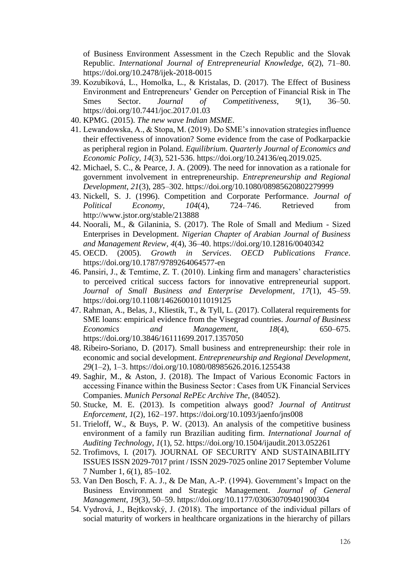of Business Environment Assessment in the Czech Republic and the Slovak Republic. *International Journal of Entrepreneurial Knowledge*, *6*(2), 71–80. https://doi.org/10.2478/ijek-2018-0015

- 39. Kozubíková, L., Homolka, L., & Kristalas, D. (2017). The Effect of Business Environment and Entrepreneurs' Gender on Perception of Financial Risk in The Smes Sector. *Journal of Competitiveness*, 9(1), 36–50. https://doi.org/10.7441/joc.2017.01.03
- 40. KPMG. (2015). *The new wave Indian MSME*.
- 41. Lewandowska, A., & Stopa, M. (2019). Do SME's innovation strategies influence their effectiveness of innovation? Some evidence from the case of Podkarpackie as peripheral region in Poland. *Equilibrium. Quarterly Journal of Economics and Economic Policy*, *14*(3), 521-536. https://doi.org/10.24136/eq.2019.025.
- 42. Michael, S. C., & Pearce, J. A. (2009). The need for innovation as a rationale for government involvement in entrepreneurship. *Entrepreneurship and Regional Development*, *21*(3), 285–302. https://doi.org/10.1080/08985620802279999
- 43. Nickell, S. J. (1996). Competition and Corporate Performance. *Journal of Political Economy*, *104*(4), 724–746. Retrieved from http://www.jstor.org/stable/213888
- 44. Noorali, M., & Gilaninia, S. (2017). The Role of Small and Medium Sized Enterprises in Development. *Nigerian Chapter of Arabian Journal of Business and Management Review*, *4*(4), 36–40. https://doi.org/10.12816/0040342
- 45. OECD. (2005). *Growth in Services*. *OECD Publications France*. https://doi.org/10.1787/9789264064577-en
- 46. Pansiri, J., & Temtime, Z. T. (2010). Linking firm and managers' characteristics to perceived critical success factors for innovative entrepreneurial support. *Journal of Small Business and Enterprise Development*, *17*(1), 45–59. https://doi.org/10.1108/14626001011019125
- 47. Rahman, A., Belas, J., Kliestik, T., & Tyll, L. (2017). Collateral requirements for SME loans: empirical evidence from the Visegrad countries. *Journal of Business Economics and Management*, *18*(4), 650–675. https://doi.org/10.3846/16111699.2017.1357050
- 48. Ribeiro-Soriano, D. (2017). Small business and entrepreneurship: their role in economic and social development. *Entrepreneurship and Regional Development*, *29*(1–2), 1–3. https://doi.org/10.1080/08985626.2016.1255438
- 49. Saghir, M., & Aston, J. (2018). The Impact of Various Economic Factors in accessing Finance within the Business Sector : Cases from UK Financial Services Companies. *Munich Personal RePEc Archive The*, (84052).
- 50. Stucke, M. E. (2013). Is competition always good? *Journal of Antitrust Enforcement*, *1*(2), 162–197. https://doi.org/10.1093/jaenfo/jns008
- 51. Trieloff, W., & Buys, P. W. (2013). An analysis of the competitive business environment of a family run Brazilian auditing firm. *International Journal of Auditing Technology*, *1*(1), 52. https://doi.org/10.1504/ijaudit.2013.052261
- 52. Trofimovs, I. (2017). JOURNAL OF SECURITY AND SUSTAINABILITY ISSUES ISSN 2029-7017 print / ISSN 2029-7025 online 2017 September Volume 7 Number 1, *6*(1), 85–102.
- 53. Van Den Bosch, F. A. J., & De Man, A.-P. (1994). Government's Impact on the Business Environment and Strategic Management. *Journal of General Management*, *19*(3), 50–59. https://doi.org/10.1177/030630709401900304
- 54. Vydrová, J., Bejtkovský, J. (2018). The importance of the individual pillars of social maturity of workers in healthcare organizations in the hierarchy of pillars